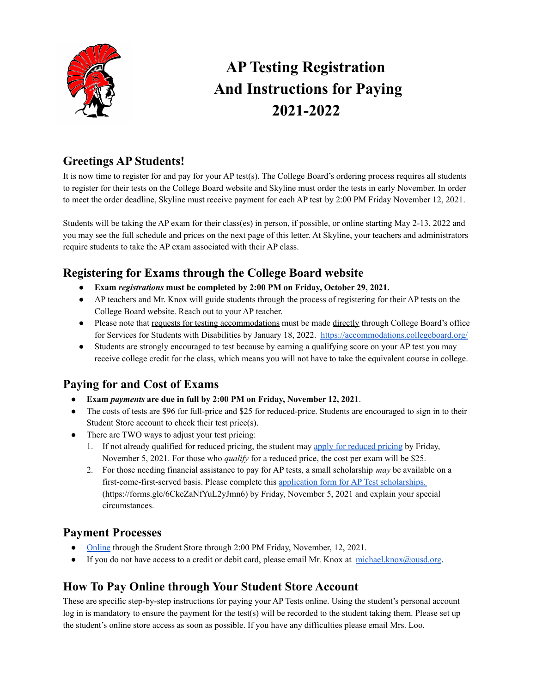

# **AP Testing Registration And Instructions for Paying 2021-2022**

## **Greetings AP Students!**

It is now time to register for and pay for your AP test(s). The College Board's ordering process requires all students to register for their tests on the College Board website and Skyline must order the tests in early November. In order to meet the order deadline, Skyline must receive payment for each AP test by 2:00 PM Friday November 12, 2021.

Students will be taking the AP exam for their class(es) in person, if possible, or online starting May 2-13, 2022 and you may see the full schedule and prices on the next page of this letter. At Skyline, your teachers and administrators require students to take the AP exam associated with their AP class.

## **Registering for Exams through the College Board website**

- **● Exam** *registrations* **must be completed by 2:00 PM on Friday, October 29, 2021.**
- AP teachers and Mr. Knox will guide students through the process of registering for their AP tests on the College Board website. Reach out to your AP teacher.
- Please note that requests for testing accommodations must be made directly through College Board's office for Services for Students with Disabilities by January 18, 2022. <https://accommodations.collegeboard.org/>
- Students are strongly encouraged to test because by earning a qualifying score on your AP test you may receive college credit for the class, which means you will not have to take the equivalent course in college.

## **Paying for and Cost of Exams**

- **Exam** *payments* **are due in full by 2:00 PM on Friday, November 12, 2021**.
- The costs of tests are \$96 for full-price and \$25 for reduced-price. Students are encouraged to sign in to their Student Store account to check their test price(s).
- There are TWO ways to adjust your test pricing:
	- 1. If not already qualified for reduced pricing, the student may apply for [reduced](https://forms.gle/qPJg7voFyPXQ7Gae8) pricing by Friday, November 5, 2021. For those who *qualify* for a reduced price, the cost per exam will be \$25.
	- 2. For those needing financial assistance to pay for AP tests, a small scholarship *may* be available on a first-come-first-served basis. Please complete this application form for AP Test [scholarships.](https://forms.gle/6CkeZaNfYuL2yJmn6) (https://forms.gle/6CkeZaNfYuL2yJmn6) by Friday, November 5, 2021 and explain your special circumstances.

#### **Payment Processes**

- [Online](https://skylinetitanstore.myschoolcentral.com/asbworks/(S(spjkfcxhyi4cvjv5cqmz1l31))/apps/webstore/pages/WebStore.aspx?org=9374) through the Student Store through 2:00 PM Friday, November, 12, 2021.
- $\bullet$  If you do not have access to a credit or debit card, please email Mr. Knox at [michael.knox@ousd.org](mailto:michael.knox@ousd.org).

## **How To Pay Online through Your Student Store Account**

These are specific step-by-step instructions for paying your AP Tests online. Using the student's personal account log in is mandatory to ensure the payment for the test(s) will be recorded to the student taking them. Please set up the student's online store access as soon as possible. If you have any difficulties please email Mrs. Loo.